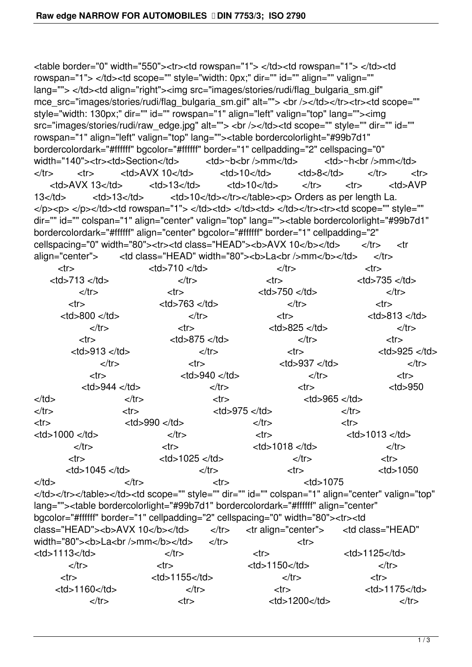<table border="0" width="550"><tr><td rowspan="1"> </td><td rowspan="1"> </td><td rowspan="1"> </td><td scope="" style="width: 0px;" dir="" id="" align="" valign="" lang=""> </td><td align="right"><img src="images/stories/rudi/flag\_bulgaria\_sm.gif" mce\_src="images/stories/rudi/flag\_bulgaria\_sm.gif" alt=""> <br />></td></tr><tr>><td scope="" style="width: 130px;" dir="" id="" rowspan="1" align="left" valign="top" lang=""><img src="images/stories/rudi/raw\_edge.jpg" alt=""> <br />> /></td><td scope="" style="" dir="" id="" rowspan="1" align="left" valign="top" lang=""><table bordercolorlight="#99b7d1" bordercolordark="#ffffff" bgcolor="#ffffff" border="1" cellpadding="2" cellspacing="0" width="140"><tr><td>Section</td></td><td>~b<br />hm</td></td><td>~h<br />h</t</tr></tr></t</t</t</td></t</t</td></t</t</t</td></tr></tr></t</t</t</t</t</t</t</t</td></tr></td></tr></td></tr></td></tr></td></tr></tr></tr></ </tr> <tr> <td>AVX 10</td> <td>10</td> <td>8</td> </tr> <tr> <td>AVX 13</td> <td>13</td> <td>10</td> </tr> <tr> <td>AVP 13</td> <td>13</td> <td>10</td></td></tr></table><p> Orders as per length La. </p><p> </p></td><td rowspan="1"> </td><td> </td><td> </td></td><tr><td scope="" style="" dir="" id="" colspan="1" align="center" valign="top" lang=""><table bordercolorlight="#99b7d1" bordercolordark="#ffffff" align="center" bgcolor="#ffffff" border="1" cellpadding="2" cellspacing="0" width="80"><tr><td class="HEAD"><br/>b>AVX 10</b></td></td></tr></tr> align="center">
<td class="HEAD" width="80"><b>La<br/>br />mm</b></td>
</tr> <tr> <td>710 </td> </td> </tr> </tr> </tr> </tr> </tr> <td>713 </td> </tr> <tr> <td>735 </td>  $\langle t \rangle$   $\langle t \rangle$   $\langle t \rangle$   $\langle t \rangle$   $\langle t \rangle$   $\langle t \rangle$   $\langle t \rangle$   $\langle t \rangle$ <tr> <td>763 </td> <td> </td> </tr> </tr> </tr> </tr> <tr> <tr> < <td>800 </td> </tr> <tr> <td>813 </td> </tr> <tr> <tr> <td>825 </td> </tr> </tr> </tr> <tr> <td>875 </td> </tr> <tr> <td>913 </td> </td></tr> </tr> <td>925 </td> </tr> <tr> <tr> <td>937 </td> </tr> </tr> </tr> </tr> </tr> </tr> </tr> </tr> </tr> </tr> </tr> </tr> </tr> </tr> </tr> </tr> </tr> </tr> </tr> </tr> </tr> </tr> </tr> </tr> </tr> </tr> </tr> </tr> </tr> </tr> </tr> </tr> <tr> <td>940 </td> </tr> <tr> <td>944 </td> </td> </tr> <td> </td> </td> </tr> <tr> <td>965 </td> </tr> <tr> <tr> <td>975 </td> </tr> </tr> </tr> </tr> </tr> </tr> </tr> </tr> </tr> </tr> </tr> </tr> </tr> </tr> </tr> </tr> </tr> </tr> </tr> </tr> </tr> </tr> </tr> </tr> </tr> </tr> </tr> </tr> </tr> </tr> </tr> </tr> <tr> <td>990 </td> </td> </tr> </tr> </tr> </tr> <td>1000 </td> </tr> <tr> <td>1013 </td> </tr> <tr> <tr> <td>1018 </td> </tr> </tr> </tr> </tr> </tr> </tr> </tr> </tr> </tr> </tr> </tr> </tr> </tr> </tr> </tr> </tr> </tr> </tr> </tr> </tr> </tr> </tr> </tr> </tr> </tr> </tr> </tr> </tr> </tr> </tr> </tr> </tr> <tr> <td>1025 </td> </td> </tr> </tr> </tr> <tr> < <td>1045 </td> </tr> <tr> <td>1050 </td> </tr> <tr> <td>1075 </td></tr></table></td><td scope="" style="" dir="" id="" colspan="1" align="center" valign="top" lang=""><table bordercolorlight="#99b7d1" bordercolordark="#ffffff" align="center" bgcolor="#ffffff" border="1" cellpadding="2" cellspacing="0" width="80"><tr><td class="HEAD"><b>AVX 10</b></td></td></tr></tr align="center"></td class="HEAD" width="80"><b>La<br />https://d> </tr></td></tr></tr></tr> <td>1113</td> </tr> <tr> <td>1125</td> </tr> <tr> <tr> <td>1150</td> </tr> </tr> </tr> </tr> </tr> </tr> </tr> </tr> </tr> </tr> </tr> </tr> </tr> </tr> </tr> </tr> </tr> </tr> </tr> </tr> </tr> </tr> </tr> </tr> </tr> </tr> </tr> </tr> </tr> </tr> </tr> </tr> <tr> <td>1155</td> </tr> <tr> <td>1160</td> </tr> <tr> <td>1175</td> </tr> <tr> <tr> <td>1200</td> </tr> </tr> </tr> </tr> </tr> </tr> </tr> </tr> </tr> </tr> </tr> </tr> </tr> </tr> </tr> </tr> </tr> </tr> </tr> </tr> </tr> </tr> </tr> </tr> </tr> </tr> </tr> </tr> </tr> </tr> </tr> </tr>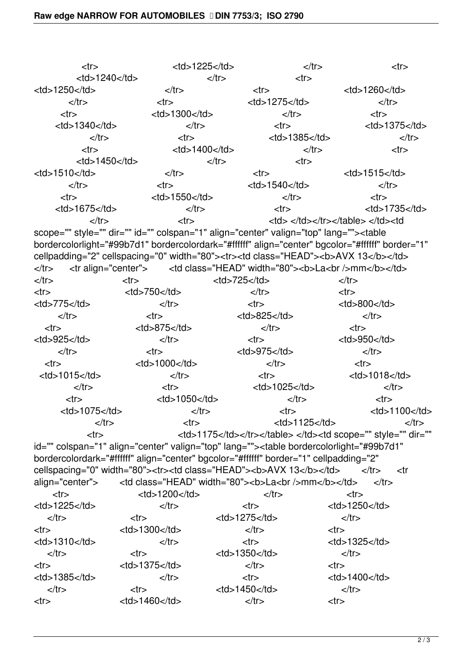| $<$ tr $>$                  | $<$ td>1225 $<$ /td> |                                    | $\langle tr \rangle$<br>$<$ tr $>$ |  |
|-----------------------------|----------------------|------------------------------------|------------------------------------|--|
| $<$ td>1240 $<$ /td>        |                      | $\langle tr \rangle$<br>$<$ tr $>$ |                                    |  |
| $<$ td>1250 $<$ /td>        | $\langle tr \rangle$ | <tr></tr>                          | $<$ td>1260 $<$ /td>               |  |
|                             |                      |                                    |                                    |  |
| $\langle tr \rangle$        | $<$ tr $>$           | $<$ td>1275 $<$ /td>               | $\langle tr \rangle$               |  |
| $<$ tr $>$                  | $<$ td>1300 $<$ /td> | $\langle tr \rangle$               | $<$ tr $>$                         |  |
| $<$ td>1340 $<$ /td>        | $\langle tr \rangle$ | <tr></tr>                          | $<$ td>1375 $<$ /td>               |  |
|                             |                      |                                    |                                    |  |
| $\langle tr \rangle$        | $<$ tr $>$           | $<$ td>1385 $<$ /td>               | $\langle tr \rangle$               |  |
| $<$ tr $>$                  | $<$ td>1400 $<$ /td> |                                    | $\langle tr \rangle$<br>$<$ tr $>$ |  |
| $<$ td>1450 $<$ /td>        |                      | $\langle tr \rangle$<br>$<$ tr $>$ |                                    |  |
| $<$ td $>$ 1510 $<$ /td $>$ | $\langle tr \rangle$ | <tr></tr>                          | $<$ td $>$ 1515 $<$ /td $>$        |  |
|                             |                      |                                    |                                    |  |
| $\langle tr \rangle$        | $<$ tr $>$           | $<$ td $>$ 1540 $<$ /td $>$        | $\langle tr \rangle$               |  |
| <tr></tr>                   | $<$ td>1550 $<$ /td> | $\langle tr \rangle$               | $<$ tr $>$                         |  |
|                             |                      |                                    |                                    |  |
| $<$ td $>$ 1675 $<$ /td $>$ | $\langle tr \rangle$ | <tr></tr>                          | $<$ td>1735 $<$ /td>               |  |
|                             |                      |                                    |                                    |  |
| $\langle tr \rangle$        | $<$ tr $>$           |                                    | <td></td>                          |  |

 |  |  | scope="" style="" dir="" id="" colspan="1" align="center" valign="top" lang="">  | |
| --- | --- | --- | --- |
|  |  |  | bordercolorlight="#99b7d1" bordercolordark="#ffffff" align="center" bgcolor="#ffffff" border="1" |
|  |  |  | cellpadding="2" cellspacing="0" width="80">| **AVX 13** | |
| | $\langle tr \rangle$  |  | |  | **La>/>>mm** | |  |
| $\langle tr \rangle$ | $<$ tr $>$ | $<$ td>725 $<$ /td> | $\langle tr \rangle$ |
| $<$ tr $>$ | $<$ td>750 $<$ /td> | $\langle tr \rangle$ | $<$ tr $>$ |
| $<$ td>775 $<$ /td> | $\langle tr \rangle$ | $<$ tr $>$ | $<$ td>800 $<$ /td> |
| $\langle tr \rangle$ | $<$ tr $>$ | $<$ td>825 $<$ /td> | $\langle tr \rangle$ |
| $<$ tr $>$ | $<$ td>875 $<$ /td> | $\langle tr \rangle$ | | |  | |
| $<$ td>925 $<$ /td> | $\langle tr \rangle$ | $<$ tr $>$ | $<$ td>950 $<$ /td> |
| $\langle tr \rangle$ | | |  | | $<$ td>975 $<$ /td> | $\langle tr \rangle$ |
| $<$ tr $>$ | $<$ td>1000 $<$ /td> | $\langle tr \rangle$ | $<$ tr $>$ |
| $<$ td>1015 $<$ /td> | $\langle tr \rangle$ | | |  | | $<$ td>1018 $<$ /td> |
| $\langle tr \rangle$ | $<$ tr $>$ | $<$ td $>$ 1025 $<$ /td $>$ | $\langle tr \rangle$ |
| $<$ tr $>$ | $<$ td>1050 $<$ /td> | $\langle tr \rangle$ | $<$ tr $>$ |
| $<$ td>1075 $<$ /td> |  |
 $<$ tr $>$ | $<$ td>1100 $<$ /td> || $\langle tr \rangle$ | | |  | | $<$ td>1125 $<$ /td> | $\langle tr \rangle$ |
| | |  | |  |  | 1175 | |
  | id="" colspan="1" align="center" valign="top" lang=""> | | | | | --- | --- | --- | --- | | bordercolordark="#ffffff" align="center" bgcolor="#ffffff" border="1" cellpadding="2" | | | | |  |  | cellspacing="0" width="80">| **AVX 13** | | $\langle tr \rangle$ | | align="center"> |  | **La>/mm** | | $\langle tr \rangle$ | | | |  | | $<$ td>1200 $<$ /td> |  | | | |  | || $<$ td $>$ 1225 $<$ /td $>$ | $\langle tr \rangle$ | $<$ tr $>$ | 1250 | |
| $\langle tr \rangle$ | | |  | | $<$ td>1275 $<$ /td> | $\langle tr \rangle$ |
| | |  | | $<$ td>1300 $<$ /td> | $\langle tr \rangle$ | | |  | |
| $<$ td $>1310$  $<$ /td $>$ | $\langle tr \rangle$ | $<$ tr $>$ | 1325 | |
| $\langle tr \rangle$ | $<$ tr $>$ | $<$ td>1350 $<$ /td> | $\langle tr \rangle$ |
| | |  | |  | $\langle tr \rangle$ |  |
| $<$ td>1385 $<$ /td> | $<$ td>1375 $<$ /td> |  | | |  | |
|  | $\langle tr \rangle$ | $<$ tr $>$ | 1400 | |
|  | | |  | |  |  |
| $\langle tr \rangle$ | | 1460 | | $<$ td>1450 $<$ /td> $\langle tr \rangle$ | $\langle tr \rangle$ | |